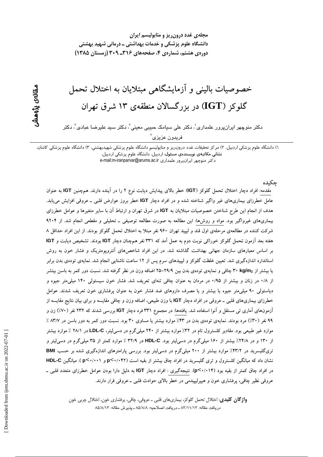مجلهی غدد درون ریز و متابولیسم ایران دانشگاه علوم پزشکی و خدمات بهداشتی ــ درمانی شهید بهشتی دوره ی هشتم، شماره ی ۴، صفحههای ۳۱۶ـ ۳۰۹ (زمستان ۱۳۸۵)

# مقالەي پژوھش

## خصوصیات بالینی و آزمایشگاهی مبتلایان به اختلال تحمل گلوکز (IGT) در بزرگسالان منطقهی ۱۳ شرق تهران

دکتر منوچهر ایرانپرور علمداری'، دکتر علی سیامک حبیبی معینی'، دکتر سید علیرضا عبادی'، دکتر فريدون عزيزي<sup>'</sup>

١) دانشگاه علوم پزشکی اردبیل، ٢) مرکز تحقیقات غدد درون ریز و متابولیسم دانشگاه علوم پزشکی شهیدبهشتی، ٣) دانشگاه علوم پزشکی کاشان، نشانی مکاتبهی نویسندهی مسئول: اردبیل، دانشگاه علوم پزشکی اردبیل، e-mail:m-iranparvar@arums.ac.ir و كتر منوچهر ايرانپرور علمدارى

حكىدە

مقدمه: افراد دچار اختلال تحمل گلوکز (IGT) خطر بالای پیدایش دیابت نوع ۲ را در آینده دارند. همچنین IGT به عنوان عامل خطرزای بیماریهای غیر واگیر شناخته شده و در افراد دچار IGT خطر بروز عوارض قلبی ـ عروقی افزایش می یابد. هدف از انجام این طرح شناختن خصوصیات مبتلایان به IGT در شرق تهران و ارتباط آن با سایر متغیرها و عوامل خطرزای بیماریهای غیرواگیر بود. مواد و روشها: این مطالعه به صورت مطالعه توصیفی ـ تحلیلی و مقطعی انجام شد. از ۹۲۰۴ شرکت کننده در مطالعهی مرحلهی اول قند و لیپید تهران ۹۶۰ نفر مبتلا به اختلال تحمل گلوکز بودند. از این افراد حداقل ۸ هفته بعد آزمون تحمل گلوکز خوراکی نوبت دوم به عمل آمد که ۳۳۱ نفر همچنان دچار IGT بودند. تشخیص دیابت و IGT بر اساس معیارهای سازمان جهانی بهداشت گذاشته شد. در این افراد شاخصهای آنتروپومتریک و فشار خون به روش استاندارد اندازهگیری شد. تعیین غلظت گلوکز و لیپیدهای سرم پس از ۱۲ ساعت ناشتایی انجام شد. نمایهی تودهی بدن برابر یا بیشتر از ۳۰ kg/m2 چاقی و نمایهی تودهی بدن بین ۲۹/۹–۲۵ اضافه وزن در نظر گرفته شد. نسبت دور کمر به باسن بیتشر از ۰/۸ در زنان و بیشتر از ۰/۹۵ در مردان به عنوان چاقی تنهای تعریف شد. فشار خون سیستولی ۱۴۰ میلی متر جیوه و دیاستولی ۹۰ میلی متر جیوه یا بیشتر و یا مصرف داروهای ضد فشار خون به عنوان پرفشاری خون تعریف شدند. عوامل خطرزای بیماریهای قلبی ـ عروقی در افراد دچار IGT با وزن طبیعی، اضافه وزن و چاقی مقایسه و برای بیان نتایج مقایسه از آزمونهای آماری ت<sub>می</sub> مستقل و آنوا استفاده شد. یافتهها: در مجموع ۳۳۱ فرد دچار IGT بررسی شدند که ۲۳۲ نفر (۷۰٪) زن و ۹۹ نفر (۳۰٪) مرد بودند. نمایهی تودهی بدن در ۴۳٪ موارد بیشتر یا مساوی ۳۰ بود. نسبت دور کمر به دور باسن در ۸۳/۷٪ موارد غیر طبیعی بود. مقادیر کلسترول تام در ۳۲٪ موارد بیشتر از ۲۴۰ میلیگرم در دسمیلیتر، LDL-C در ۲۸/۱٪ موارد بیشتر از ۱۳۰ و در ۲۴/۸٪ بیشتر از ۱۶۰ میلیگرم در دسی[یتر بود. HDL-C در ۳۲/۹ ٪ موارد کمتر از ۳۵ میلیگرم در دسی[یتر و تری گلیسرید در ۴۳/۲٪ موارد بیشتر از ۲۰۰ میلی گرم در دسی لیتر بود. بررسی پارامترهای اندازهگیری شده بر حسب BMI نشان داد که میانگین کلسترول و تری گلیسرید در افراد چاق بیشتر از بقیه است (p<۰/۰۴۲ و p<۰/۰۰۱). میانگیز, HDL-C در افراد چاق کمتر از بقیه بود (۱۴/۰۱۴). نتیجهگیری : افراد دچار IGT به دلیل دارا بودن عوامل خطرزای متعدد قلبی ـ عروقی نظیر چاقی، پرفشاری خون و هیپرلیپیدمی در خطر بالای حوادث قلبی ـ عروقی قرار دارند.

**واژ گان کلیدی**: اختلال تحمل گلوکز، بیماریهای قلبی ـ عروقی، چاقی، پرفشاری خون، اختلال چربی خون دريافت مقاله: ٨٣/١١/١٢ ـ دريافت اصلاحيه: ٨٥/٨/٨ ـ يذيرش مقاله: ٨٥/٨/١٣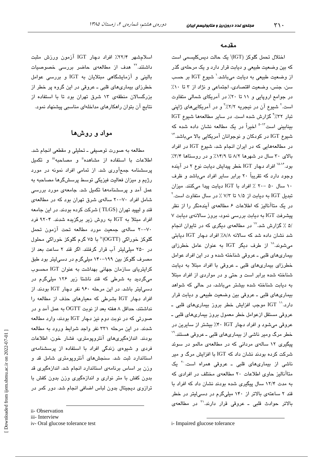مقدمه

اختلال تحمل گلوکز (IGT)<sup>:</sup> یک حالت دیسکلیسمی است که بین وضعیت طبیعی و دیابت قرار دارد و یک مرحلهی گذر از وضعیت طبیعی به دیابت میباشد.<sup>۱</sup> شیوع IGT بر حسب سن، جنس، وضعیت اقتصادی، اجتماعی و نژاد از ۳ تا ۱۰٪ در جوامع اروپایی و ۱۱ تا ۲۰٪ در آمریکای شمالی متفاوت است.<sup>۲</sup> شیوع آن در نیجریه ۲/۲/۲ و در آمریکاییهای ژاپنی تبار ٣٪.٢٢ گزارش شده است. در ساير مطالعهها شيوع IGT بینابینی است<sup>71-۵</sup> اخیراً در یک مطالعه نشان داده شده که شيوع IGT در كودكان و نوجوانان آمريكايي بالا ميباشد." در مطالعههایی که در ایران انجام شد، شیوع IGT در افراد بالای ۳۰ سال در شهرها ۸/۲ تا ۱۴/۹٪ و در روستاها ۳/۴٪ بود.<sup>۱۵،۱۶</sup> افراد دچار IGT خطر پیدایش دیابت نوع ۲ در آینده وجود دارد که تقریباً ۲۰ برابر سایر افراد میباشد و ظرف ١٠ سال ٥٠ -٢٠ ٪ افراد با IGT ديابت پيدا مى كنند. ميزان تبدیل IGT به دیابت از ۱/۵ تا ۷/۳ ٪ در سال متفاوت است.<sup>۲</sup> در یک متاآنالیز که اطلاعات ۶ مطالعهی آیندهنگر را از نظر پیشرفت IGT به دیابت بررسی نمود، بروز سالانهی دیابت ۷ /۵ ٪ گزارش شد.<sup>۱۷</sup> در مطالعهی دیگری که در تایوان انجام شد نشان داده شد که سالانه ۸/۸٪ افراد دچار IGT دیابتی میشوند.<sup>۱۸</sup> از طرف دیگر IGT به عنوان عامل خطرزای بیماریهای قلبی ـ عروقی شناخته شده و در این افراد عوامل خطرزای بیماریهای قلبی ـ عروقی با افراد مبتلا به دیابت شناخته شده برابر است و حتى و در مواردى از افراد مبتلا به دیابت شناخته شده بیشتر میباشد، در حالی که شواهد بيماري هاي قلبي ـ عروقي بين وضعيت طبيعي و ديابت قرار دارد.<sup>\\</sup> IGT موجب افزایش خطر بروز بیماریهای قلبی ـ عروقي مستقل ازعوامل خطر معمول بروز بيماريهاي قلبي ــ عروقی میشود و افراد دچار F۰ IGT" بیشتر از سایرین در خطر مرگ ومیر ناشی از بیماریهای قلبی ـ عروقی هستند." پیگیری ۱۲ سالهی مردانی که در مطالعهی مالمو در سوئد شرکت کرده بودند نشان داد که IGT با افزایش مرگ و میر ناشی از بیماریهای قلبی ـ عروقی همراه است.<sup>۲</sup> یک متاآنالیز حاوی اطلاعات ٢٠ مطالعهی مختلف در افرادی كه به مدت ۱۲/۴ سال پیگیری شده بودند نشان داد که افراد با قند ۲ ساعتهی بالاتر از ۱۴۰ میلیگرم در دسی لیتر در خطر بالاتر حوادث قلبی ــ عروقی قرار دارند.<sup>۲۱</sup> در مطالعهی

اسلامشهر ۲۲/۴٪ افراد دچار IGT آزمون ورزش مثبت داشتند.<sup>۲۲</sup> هدف از مطالعهی حاضر بررس*ی* خصوصیات بالینی و آزمایشگاهی مبتلایان به IGT و بررسی عوامل خطرزای بیماریهای قلبی ـ عروقی در این گروه پر خطر از بزرگسالان منطقهی ١٣ شرق تهران بود تا با استفاده از نتایج آن بتوان راهکارهای مداخلهای مناسبی پیشنهاد نمود.

#### مواد و روشها

مطالعه به صورت توصیفی ـ تحلیلی و مقطعی انجام شد. اطلاعات با استفاده از مشاهده<sup>ة</sup> و مصاحبه<sup>ننا</sup> و تكميل پرسشنامه جمعآوری شد. از تمامی افراد نمونه در مورد رژیم و میزان فعالیت فیزیکی توسط پرسشگرها مصاحبه به عمل آمد و پرسشنامهها تکمیل شد. جامعهی مورد بررسی شامل افراد ۷۰-۲۰ سالهی شرق تهران بود که در مطالعهی قند و لیپید تهران (TLGS ) شرکت کرده بودند. در این جامعه افراد مبتلا به IGT به روش زیر برگزیده شدند. ۹۲۰۴ فرد ٧٠-٢٠ سالهى جمعيت مورد مطالعه تحت آزمون تحمل گلوکز خوراکی (OGTT)" با ۷۵ گرم گلوکز خوراکی محلول در ۲۵۰ میلی لیتر آب قرار گرفتند. اگر قند ۲ ساعت بعد از مصرف گلوکز بین ۱۹۹–۱۴۰ میلیگرم در دسی لیتر بود طبق کرایتریای سازمان جهانی بهداشت به عنوان IGT محسوب میگردید به شرطی که قند ناشتا زیر ۱۲۶ میلیگرم در دسهایتر باشد. در این مرحله ۹۶۰ نفر دچار IGT بودند. از افراد دچار IGT بشرطی که معیارهای حذف از مطالعه را نداشتند، حداقل ۸ هفته بعد از نوبت OGTT به عمل آمد و در صورتی که در نوبت دوم نیز دچار IGT بودند، وارد مطالعه شدند. در این مرحله ۳۳۱ نفر واجد شرایط ورود به مطالعه بودند. اندازهگیریهای آنتروپومتری، فشار خون، اطلاعات فردی و شیوهی زندگی افراد با استفاده از پرسشنامهی استاندارد ثبت شد. سنجشهای آنتروپومتری شامل قد و وزن بر اساس برنامهی استاندارد انجام شد. اندازهگیری قد بدون کفش با متر نواری و اندازهگیری وزن بدون کفش با ترازوی دیجیتال بدون لباس اضافی انجام شد. دور کمر در

ii-Observation

iii- Interview

iv-Oral glucose tolerance test

i- Impaired glucose tolerance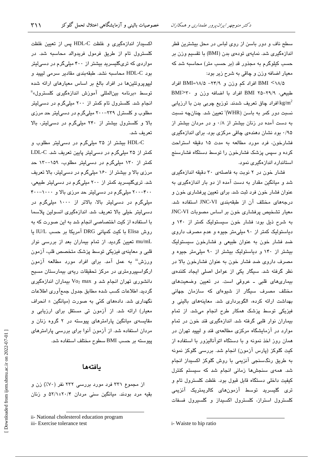سطح ناف و دور باسن از روی لباس در محل بیشترین قطر اندازهگیری شد. نمایهی تودهی بدن (BMI) با تقسیم وزن بر حسب کیلوگرم به مجذور قد (بر حسب متر) محاسبه شد که معيار اضافه وزن و چاقي به شرح زير بود:

BMI <۱۸/۵ افراد کم وزن و ۲۴/۹- BMI=۱۸/۵ افراد طبيعي، ٢٩/٩-٣٥ BMI افراد با اضافه وزن و ٣٠<BMI افراد چاق تعریف شدند. توزیع چربی بدن با ارزیابی kg/m $^2$ نسبت دور کمر به باسن (WHR) تعیین شد. چنانچه نسبت به دست آمده در زنان بیشتر از ۰/۸ و در مردان بیشتر از ۰/۹۵ بود نشان دهندهی چاقی مرکزی بود. برای اندازهگیری فشارخون، فرد مورد مطالعه به مدت ۱۵ دقیقه استراحت کرده و سپس پزشک فشارخون را توسط دستگاه فشارسنج استاندارد اندازهگیری نمود.

فشار خون در ۲ نوبت به فاصلهی ۳۰ دقیقه اندازهگیری شد و میانگین مقدار به دست آمده از دو بار اندازهگیری به عنوان فشار خون فرد ثبت شد. برای تعیین پرفشاری خون و درجههای مختلف آن از طبقهبندی JNC-VI استفاده شد. معیار تشخیص پرفشاری خون بر اساس مصوبات JNC-VI به شرح ذیل بود: فشار خون سیستولیک کمتر از ۱۴۰ و دیاستولیک کمتر از ۹۰ میلی متر جیوه و عدم مصرف داروی ضد فشار خون به عنوان طبیعی و فشارخون سیستولیک بیشتر از ۱۴۰ و دیاستولیک بیشتر از ۹۰ میلی متر جیوه و مصرف داروی ضد فشار خون به عنوان فشارخون بالا در نظر گرفته شد. سیگار یکی از عوامل اصلی ایجاد کنندهی بیماریهای قلبی ـ عروقی است. در تعیین وضعیتهای مختلف مصرف سیگار از شیوها*ی* که سازمان جهانی بهداشت ارائه كرده، الگوبردارى شد. معاينههاى بالينى و فیزیکی توسط پزشک همکار طرح انجام میشد. از تمام بیماران نوار قلبی گرفته شد. اندازهگیری قند خون در تمام موارد در آزمایشگاه مرکزی مطالعهی قند و لیپید تهران در همان روز اخذ نمونه و با دستگاه اتوآنالیزور با استفاده از کیت گلوکز (پارس آزمون) انجام شد. بررسی گلوکز نمونه به طریق رنگسنجی آنزیمی با روش گلوکز اکسیداز انجام شد. همهی سنجشها زمانی انجام شد که سیستم کنترل کیفیت داخلی دستگاه قابل قبول بود. غلظت کلسترول تام و تری گلیسرید توسط آزمونهای کالریمتریک آنزیمی کلسترول استراز، کلسترول اکسیداز و گلسیرول فسفات

اکسیداز اندازهگیری و غلظت HDL-C پس از تعیین غلظت کلسترول تام از طریق فرمول فریدوالد محاسبه شد. در مواردی که تریگلیسرید بیشتر از ۴۰۰ میلیگرم در دسی لیتر بود HDL-C محاسبه نشد. طبقهبندی مقادیر سرمی لیپید و لیپوپروتئینها در افراد بالغ بر اساس معیارهای ارائه شده توسط «برنامه بینالمللی آموزش اندازهگیری کلسترول»<sup>ة</sup> انجام شد. کلسترول تام کمتر از ۲۰۰ میلیگرم در دسیلیتر مطلوب و کلسترل ۲۳۹-۲۰۰ میلیگرم در دسهالیتر حد مرزی بالا و کلسترول بیشتر از ۲۴۰ میلیگرم در دسی لیتر، بالا تعريف شد.

 $\mathsf{r}\setminus\mathsf{r}$ 

HDL-C بیشتر از ۳۵ میلیگرم در دسی لیتر مطلوب و کمتر از ۳۵ میلیگرم در دسیلیتر پایین تعریف شد. LDL-C کمتر از ۱۳۰ میلیگرم در دسی لیتر مطلوب، ۱۵۹–۱۳۰ حد مرزی بالا و بیشتر از ۱۶۰ میلیگرم در دسی لیتر، بالا تعریف شد. تریگلیسرید کمتر از ۲۰۰ میلیگرم در دسی لیتر طبیعی، ۴۰۰--۲۰۰ میلیگرم در دسهالیتر حد مرزی بالا و ۲۰۰۰--۴۰۰ میلیگرم در دسی!پتر بالا، بالاتر از ۱۰۰۰ میلیگرم در دسی لیتر خیلی بالا تعریف شد. اندازهگیری انسولین پلاسما با استفاده از کیت اختصاصی انجام شد به این صورت که به روش Elisa با کیت کمپانی DRG آمریکا بر حسب IU/L یا mu/mL تعیین گردید. از تمام بیماران بعد از بررسی نوار قلبی و معاینهی فیزیکی توسط پزشک متخصص قلب، آزمون ورزش" به عمل آمد. برای افراد مورد مطالعه آزمون ارگواسپیرومتری در مرکز تحقیقات ریهی بیمارستان مسیح دانشوری تهران انجام شد و Vo2 max بیماران اندازهگیری گردید. اطلاعات کسب شده مطابق جدول جمعآوری اطلاعات نگهداری شد. دادههای کمّی به صورت (میانگین ± انحراف معیار) ارائه شد. از آزمون تی مستقل برای ارزیابی و مقایسهی میانگین پارامترهای پیوسته در ۲ گروه زنان و مردان استفاده شد. از آزمون آنوا برای بررسی پارامترهای پيوسته بر حسب BMI سطوح مختلف استفاده شد.

#### بافتهها

از مجموع ۳۳۱ فرد مورد بررسی ۲۳۲ نفر (۷۰٪) زن و بقیه مرد بودند. میانگین سنی مردان ۲۰/۴±۵۲/۱ و زنان

iii- Exercise tolerance test

ii- National cholesterol education program

i-Waiste to hip ratio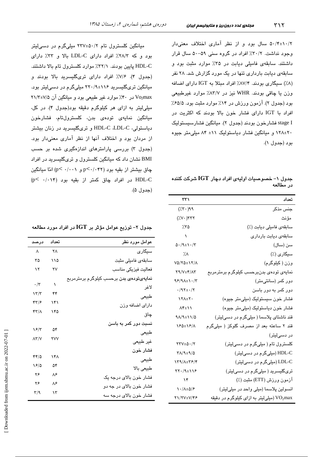۵۰/۴±۱۰/۲ سال بود و از نظر آماری اختلاف معنیدار وجود نداشت. ۳۰/۲٪ افراد در گروه سنی ۵۹–۵۰ سال قرار داشتند. سابقهی فامیلی دیابت در ۳۵٪ موارد مثبت بود و سابقهی دیابت بارداری تنها در یک مورد گزارش شد. ۲۸ نفر (۸٪) سیگاری بودند. ۸۷/۴٪ افراد مبتلا به IGT دارای اضافه وزن یا چاقی بودند. WHR نیز در ۸۳/۷٪ موارد غیرطبیعی بود (جدول ۲). آزمون ورزش در ۱۴٪ موارد مثبت بود. ۶۵/۵٪ افراد با IGT دارای فشار خون بالا بودند که اکثریت در stage I فشارخون بودند (جدول ۲). میانگین فشارسیستولیک ۲۰±۱۲۸ و میانگین فشار دیاستولیک ۱۱± ۸۴ میلی متر جیوه بود (جدول ١).

جدول ۱– خصوصیات اولیهی افراد دچار  ${\rm IGT}$  شرکت کننده در مطالعه

| ۳۳۱                            | تعداد                                      |
|--------------------------------|--------------------------------------------|
| $(\dot{X}^{\dagger})^{\alpha}$ | جنس مذكر                                   |
| $(\forall \cdot)$ ٢٣٢          | مؤنث                                       |
| ۲۵٪                            | سابقەي فاميلى ديابت (٪)                    |
| $\sqrt{2}$                     | سابقەي ديابت باردارى                       |
| $0.49 \pm 1.7$                 | سن (سال)                                   |
| $\lambda$                      | سیگاری (٪)                                 |
| 75/75±17/1                     | وزن (کیلوگرم)                              |
| <b>T9/V±4/17</b>               | نمایەی تودەی بدنبرحسب کیلوگرم برمترمربع    |
| $95/9$ $+1.7$                  | دور کمر (سانتیءتر)                         |
| $\cdot$ /9 $\tau$ + $\cdot$ /7 | دور کمر به دور باسن                        |
| $Y^{\star}$                    | فشار خون سیستولیک (میلی،متر جیوه)          |
| $\Lambda$ ۴ $\pm$ \ \          | فشار خون دياستوليک (ميلي متر جيوه)         |
| $9\lambda/9$ ± 1 1/0           | قند ناشتای پلاسما ( میلیگرم در دسیلیتر)    |
| 180±18/1                       | قند ۲ ساعته بعد از مصرف گلوکز ( میلیگرم    |
|                                | در دسیلیتر)                                |
| $\tau\tau v_{\pm\Delta}$ ./٢   | کلسترول تام ( میلیگرم در دس <i>ی</i> لیتر) |
| $Y\Lambda/9$ $\pm$ 9/2         | HDL-C (میلیگرم در دسیلیتر)                 |
| 139/1±46/4                     | LDL-C (میلیگرم در دسیلیتر)                 |
| YY.44119                       | تریگلیسرید ( میلیگرم در دسیلیتر)           |
| $\mathcal{N}$                  | آزمون ورزش (ETT) مثبت (٪)                  |
| $\frac{1}{\sqrt{2}}$           | انسولين پلاسما (ميلي واحد در ميلي ليتر)    |
| 21/7V±V/46                     | سیلی لیتر به ازای کیلوگرم در دقیقه VO2max  |

میانگین کلسترول تام ۲/۰۵۰±۲۳۷ میلیگرم در دسی لیتر بود و که ۲۸/۳٪ افراد دارای LDL-C بالا و ۳۳٪ دارای HDL-C پایین بودند. ۳۲/۱٪ موارد کلسترول تام بالا داشتند. (جدول ۴). ۷/۶٪ افراد دارای تریگلیسرید بالا بودند و میانگین تریگلیسرید ۱۱۶±۲۰/۹ میلیگرم در دسی لیتر بود. Vo2max در ۴۰٪ موارد غیر طبیعی بود و میانگین آن ۷/۵±۲۱/۳ میلی لیتر به ازای هر کیلوگرم دقیقه بود(جدول ۴). در کل، ميانگين نمايەي تودەي بدن، كلسترولتام، فشارخون دیاستولی، HDL-C ،LDL-C و تریگلیسرید در زنان بیشتر از مردان بود و اختلاف آنها از نظر آماری معنی،دار بود. (جدول ۳) بررسی پارامترهای اندازهگیری شده بر حسب BMI نشان داد که میانگین کلسترول و تریگلیسرید در افراد چاق بیشتر از بقیه بود (p<٠/٠۴٢ و p<٠/٠٠١) امّا میانگین  $(p< \cdot/\cdot \cdot)$ در افراد چاق کمتر از بقیه بود HDL-C (جدول ۵).

جدول ۲– توزیع عوامل مؤثر بر  ${\rm IGT}$  در افراد مورد مطالعه

| عوامل مورد نظر                                 | تعداد | درصد               |
|------------------------------------------------|-------|--------------------|
| سیگاری                                         | ٢٨    | ٨                  |
| سابقەى فاميلى مثبت                             | ۱۱۵   | ۳۵                 |
| فعاليت فيزيكي مناسب                            | ۲۷    | ۱۲                 |
| <b>نمایەیتودەی بدن</b> برحسب کیلوگرم برمترمربع |       |                    |
| لاغر                                           | ١     | $\cdot/\tau$       |
| طبيعى                                          | ۴۴    | $\gamma \tau/\tau$ |
|                                                | ۱۴۱   | ۴۳۱۶               |
| دارای اضافه وزن                                | ۱۴۵   | <b>۴۳/۸</b>        |
| ڇاق                                            |       |                    |
| نسبت دور کمر به باسن                           |       |                    |
| طبيعى                                          | ۵۴    | ۱۶/۳               |
| غير طبيعي                                      | ۲V۷   | $\lambda$ ۳/V      |
| فشار خون                                       |       |                    |
| طبيعي                                          | ۱۴۸   | 4410               |
|                                                | ۵۴    | ۱۶۵                |
| طبيعي بالا                                     | ۸۶    | ۲۶                 |
| فشار خون بالای درجه یک                         | ٨۶    | ۲۶                 |
| فشار خون بالای در جه دو                        |       |                    |
| فشار خون بالای درجه سه                         | ۱۳    | ۳٬۹                |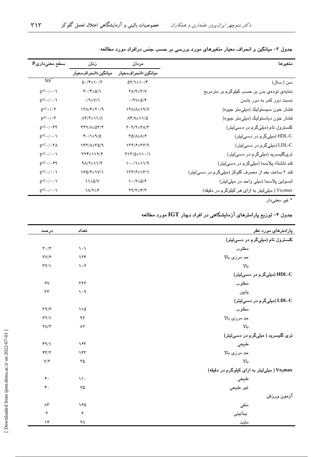| $\mathbf{P}_{\boldsymbol{\mathcal{G}}}$ سطح معنیداری | زنان                                              | مردان                                                               | متغيرها                                           |
|------------------------------------------------------|---------------------------------------------------|---------------------------------------------------------------------|---------------------------------------------------|
|                                                      | ميانگين±انحرافم <b>ع</b> يار                      | ميانگين±انحراف،معيار                                                |                                                   |
| $NS^*$                                               | $\Delta \cdot$ /۴ $\pm$ 1 $\cdot$ /۲              | $\Delta Y/\lambda \pm \lambda \cdot / \zeta$                        | سن ( سال)                                         |
| $p<\cdot/\cdot\cdot\wedge$                           | $\Upsilon \cdot / \Upsilon \pm \Delta / \Upsilon$ | $Y/\Upsilon \pm \Upsilon/V$                                         | نمایهی تودهی بدن بر حسب کیلوگرم بر مترمربع        |
| $p<\cdot/\cdot\cdot\wedge$                           | $\cdot$ /۹ $\pm$ V/1                              | $\cdot$ /9 $V \pm \Delta$ /۴                                        | نسبت دور کمر به دور باسن                          |
| $p<\cdot/\cdot\tau$                                  | $\frac{1}{\sqrt{2}}$                              | 1 Y A / A ± 1 9 / V                                                 | فشار خون سیستولیک (میلی متر جیوه)                 |
| $p<\cdot/\cdot\tau$                                  | $\Lambda$ Y/Y $\pm$ \ \/ $\Lambda$                | $\Lambda f/\Lambda \pm 11/\Delta$                                   | فشار خون دیاستولیک (میلی متر جیوه)                |
| $p<\cdot/\cdot$ ۴۲                                   | $YY9/\lambda \pm \Delta Y/Y$                      | $Y \cdot \mathcal{A}/\mathcal{A} + \mathcal{A}/\mathcal{A}$         | کلسترول تام (میلیگرم در دسیلیتر)                  |
| $p<\cdot/\cdot\cdot\cdot$                            | $f \cdot / \lambda \pm 1/2$                       | $\Upsilon \Delta / \Lambda \pm \Lambda / 8$                         | HDL-C (میلیگرم در دسیلیتر)                        |
| $p<\cdot/\cdot\tau$                                  | 147/1±0/9                                         | 157/۶±58/9                                                          | LDL-C (میلیگرم در دسیلیتر)                        |
| $p<\cdot/\cdot\cdot\wedge$                           | $YYY\pm YY^2$                                     | $Y \ Y / \Delta \pm 11 \cdot / 1$                                   | تریگلیسرید (میلیگرم در دسیلیتر)                   |
| $p<\cdot/\cdot$ ۶۹                                   | $9\Lambda/T \pm 11/T$                             | $\lambda \cdot \cdot / \lambda \pm \lambda \cdot \lambda / \lambda$ | قند ناشتاء پلاسما (میلیگرم در دسیلیتر)            |
| $p<\cdot/\cdot\cdot\wedge$                           | 180/8±1V/1                                        | 158/8±18/1                                                          | قند ۲ ساعت بعد از مصرف گلوکز (میلیگرم در دسیلیتر) |
| $p<\cdot/\cdot\cdot\wedge$                           | $\lambda \pm \Delta/V$                            | $\frac{1}{2} \cdot \frac{1}{2} \pm \frac{1}{2} \cdot \frac{1}{2}$   | انسولین پلاسما (میلی واحد در میلی لیتر)           |
| $p<\cdot/\cdot\cdot\cdot$                            | $\lambda/\tau_{\pm}$ ۶                            | $Y9/Y \pm Y/Y$                                                      | Vo2max (میلی لیتر به ازای هر کیلوگرم در دقیقه)    |
|                                                      |                                                   |                                                                     |                                                   |

جدول ۳– میانگین و انحراف معیار متغیرهای مورد بررسی بر حسب جنس درافراد مورد مطالعه

\* غیر معنیدار

جدول ۴– توزیع پارامترهای آزمایشگاهی در افراد دچار  $\operatorname{IGT}$  مورد مطالعه

| <u>پارامترهای مورد نظر</u>                  | تعداد                       | درصد                              |
|---------------------------------------------|-----------------------------|-----------------------------------|
| کلسترول تام (میلیگرم در دسیلیتر)            |                             |                                   |
| مطلوب                                       | $\setminus \cdot \setminus$ | $\mathbf{r}\cdot/\mathbf{r}$      |
| حد مرزی بالا                                | $\lambda \tau f$            | $\tau v/\epsilon$                 |
| بالا                                        | $\lambda \cdot \epsilon$    | $\tau\tau/\gamma$                 |
| HDL-C (میلیگرم در دسیلیتر)                  |                             |                                   |
| مطلوب                                       | $\tau\tau\tau$              | $\gamma$                          |
| پايين                                       | $\eta \cdot \eta$           | $\tau\tau$                        |
| LDL-C (میلیگرم در دسیلیتر)                  |                             |                                   |
| مطلوب                                       | $\sqrt{2}$                  | $\tau \gamma / \epsilon$          |
| حد مرزی بالا                                | ۹۳                          | $\tau\tau/\gamma$                 |
| بالا                                        | $\Lambda$ ٢                 | $\mathbf{Y}\Lambda/\mathbf{Y}$    |
| تری گلیسرید ( میلیگرم در دسیلیتر)           |                             |                                   |
| طبيعى                                       | ۱۶۳                         | 49/1                              |
| حد مرزی بالا                                | ١۴٣                         | $\mathbf{r}\mathbf{r}/\mathbf{r}$ |
| بالا                                        | YQ                          | V/F                               |
| Vo2max (میلی لیتر به ازای کیلوگرم در دقیقه) |                             |                                   |
| طبيعى                                       | $\mathcal{U}$               | $\epsilon$ .                      |
| غير طبيعي                                   | V۵                          | $\mathfrak{r}$ .                  |
| آزمون ورزش                                  |                             |                                   |
| منفى                                        | ۱۶۵                         | $\wedge\!\tau$                    |
| بينابينى                                    | ۶                           | $\mathbf{r}$                      |
| مثبت                                        | ٢٨                          | $\lambda$ ۴                       |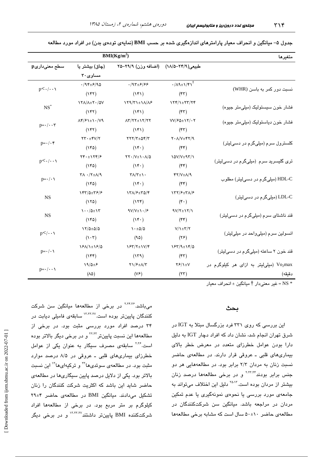| BMI(Kg/m <sup>2</sup> )          |                                                          |                                                                |                                           | متغيرها                                 |
|----------------------------------|----------------------------------------------------------|----------------------------------------------------------------|-------------------------------------------|-----------------------------------------|
| سطح معنیداریp                    | (چاق) بیشتر یا                                           | (اضافه وزن) ۲۹/۹–۲۵                                            | طبیعی(۲۴/۹–۱۸/۵)                          |                                         |
|                                  | مساوى ٣٠                                                 |                                                                |                                           |                                         |
| $p<\cdot/\cdot\cdot\cdot$        | $\cdot$ /94±۶/90                                         | $.797 + 572$                                                   | $\cdot/\Lambda$ ۹ $\pm$ ۱/۴۱ <sup>†</sup> |                                         |
|                                  | $(Y^{\ast}Y)$                                            | $(Y^{\ast})$                                                   | $(\mathbf{r}\mathbf{r})$                  | نسبت دور کمر به باسن (WHR)              |
| $NS^*$                           | 171/1±7./0V                                              | $YYYY^{\pm}YA/X^{\epsilon}$                                    | $\frac{1}{\sqrt{2}}$                      |                                         |
|                                  | $(Y^{\ast}Y)$                                            | $(Y^{\ast})$                                                   | $(\tau\tau)$                              | فشار خون سیستولیک (میلی متر جیوه)       |
|                                  | $\Lambda f/F\lambda \pm \lambda \cdot /V9$               | $\Lambda$ Y/YY $\pm$ 1Y/YY                                     | $VV/F\Delta \pm VY/\cdot Y$               | فشار خون دياستوليک (ميلي متر جيوه)      |
| $p = \cdot / \cdot \cdot \tau$   | $(Y^{\ast}Y)$                                            | $(Y^{\ast})$                                                   | $(\mathbf{r}\mathbf{r})$                  |                                         |
| $p = \cdot / \cdot \mathfrak{r}$ | $\tau\tau\cdot\pm\tau\vee/\tau$                          | $YYY/\Upsilon \pm \Delta \Upsilon/\Upsilon$                    | $Y \cdot \Lambda/V \pm Y Y / 9$           |                                         |
|                                  | $(Y^{\epsilon} \omega)$                                  | $(Y^{\epsilon})$                                               | $(\mathfrak{f}\mathfrak{f})$              | کلسترول سرم (میلیگرم در دسیلیتر)        |
|                                  | $\Upsilon f \cdot \pm \Upsilon f / 2$                    | $\Upsilon\Upsilon\cdot/\Upsilon\pm\Upsilon\cdot\Lambda/\Delta$ | $10V/V+17/1$                              |                                         |
| $p<\cdot/\cdot\cdot\cdot$        | $(Y^{\epsilon} \omega)$                                  | $(Y^{\epsilon})$                                               | $(\ast \ast)$                             | تری گلیسرید سرم (میلیگرم در دسیلیتر)    |
| $p=\cdot/\cdot \cdot$            | $\Upsilon \wedge \cdot / \Upsilon \pm \Lambda / \Lambda$ | $\Upsilon\Lambda/\Upsilon \pm 1$ .                             | $YY/V \pm \Lambda$                        | HDL-C (میلیگرم در دسیلیتر) مطلوب        |
|                                  | $(Y^{\epsilon} \omega)$                                  | $(Y^{\epsilon})$                                               | $(\ast \ast)$                             |                                         |
| <b>NS</b>                        | 145/0±58/8                                               | 151/۶±٣۵/۴                                                     | 137/۶±٣٨/۶                                |                                         |
|                                  | (150)                                                    | (15)                                                           | $(\mathbf{r} \cdot)$                      | LDL-C (میلیگرم در دسیلیتر)              |
|                                  | $1 - 20 \pm 17$                                          | $9V/V_{\pm}$ $\cdot$ / $\epsilon$                              | $9V/\Upsilon \pm 1V/\Upsilon$             |                                         |
| <b>NS</b>                        | $(Y^{\epsilon} \omega)$                                  | $(Y^{\epsilon})$<br>$(\mathfrak{k}\mathfrak{k})$               | قند ناشتای سرم (میلیگرم در دسیلیتر)       |                                         |
|                                  | $\frac{17}{20}$                                          | $\cdot$ ±۵/۵                                                   | $V/\1$ + $Y/\gamma$                       | انسولین سرم (میلی واحد در میلی لیتر)    |
| $p$                              | $(1 \cdot \tau)$                                         | (90)                                                           | (YF)                                      |                                         |
| $p = \cdot / \cdot \setminus$    | 1811±18/0                                                | $YY/Y_{\pm}YY$                                                 | 18512±14/0                                | قند خون ۲ ساعته (میلیگرم در دسیلیتر)    |
|                                  | $(Y^{\epsilon})$                                         | (159)                                                          | $(\mathfrak{k}\mathfrak{r})$              |                                         |
| $p = \cdot / \cdot \cdot \cdot$  | $19/0 \pm 5$                                             | $Y1/F+A/Y$                                                     | $Y$ $Y$ $Y$                               | Vo2max (میلی لیتر به ازای هر کیلوگرم در |
|                                  | $(\wedge \varphi)$                                       | (VF)                                                           | (YY)                                      | دقيقه)                                  |

جدول ۵– میانگین و انحراف معیار پارامترهای اندازهگیری شده بر حسب BMI (نمایهی تودهی بدن) در افراد مورد مطالعه

خير معنىدار † ميانگين ± انحراف معيار = NS \*

#### بحث

این بررسی که روی ۳۳۱ فرد بزرگسال مبتلا به IGT در شرق تهران انجام شد، نشان داد که افراد دچار IGT به دلیل دارا بودن عوامل خطرزای متعدد در معرض خطر بالای بیماریهای قلبی ـ عروقی قرار دارند. در مطالعهی حاضر نسبت زنان به مردان ٢/٣ برابر بود. در مطالعههایی هر دو جنس برابر بودند<sup>۲،۳۰،۲۴</sup> و در برخی مطالعهها درصد زنان بیشتر از مردان بوده است.<sup>۲۵،۱۲</sup> دلیل این اختلاف میتواند به جامعهی مورد بررسی یا نحوهی نمونهگیری یا عدم تمکین مردان در مراجعه باشد. میانگین سن شرکتکنندگان در مطالعهى حاضر ٤٠±٥٠ سال است كه مشابه برخى مطالعهها

میباشد.<sup>۲٬۲۴٬۲۶</sup> در برخی از مطالعهها میانگین سن شرکت کنندگان پایینتر بوده است<sup>۱۲٬۲۲٬۲۷</sup> سابقهی فامیلی دیابت در ۳۴ درصد افراد مورد بررسی مثبت بود. در برخی از مطالعهها این نسبت پایینتر<sup>۲۲،۲۲</sup> و در برخ*ی* دیگر بالاتر بوده است.<sup>۲٬۲۶</sup> سابقهی مصرف سیگار به عنوان یکی از عوامل خطرزای بیماریهای قلبی ـ عروقی در ۸/۵ درصد موارد مثبت بود. در مطالعهی سوئدیها<sup>۲۲</sup> و ترکیهایها<sup>۱۳</sup> این نسبت بالاتر بود. یکی از دلایل درصد پایین سیگاریها در مطالعهی حاضر شاید این باشد که اکثریت شرکت کنندگان را زنان تشکیل می دادند. میانگین BMI در مطالعهی حاضر ۲۹±۲۹ کیلوگرم بر متر مربع بود. در برخی از مطالعهها افراد شرکتکننده BMI پایینتر داشتند<sup>۱۲،۲۲،۲۷</sup> و در برخی دیگر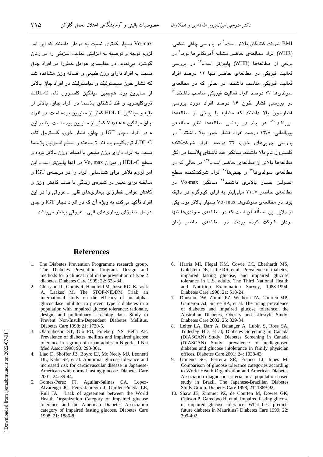بسیار کمتری نسبت به مردان داشتند که این امر  $\rm Vozmax$ لزوم توجه و توصیه به افزایش فعالیت فیزیکی را در زنان گوشزد مینماید. در مقایسهی عوامل خطرزا در افراد چاق نسبت به افراد دارای وزن طبیعی و اضافه وزن مشاهده شد که فشار خون سیستولیک و دیاستولیک در افراد چاق بالاتر از سایرین بود. همچنین میانگین کلسترول تام، LDL-C، تریکلیسرید و قند ناشتای پلاسما در افراد چاق، بالاتر از بقیه و میانگین HDL-C کمتر از سایرین بوده است. در افراد  $\omega$ چاق میانگین Vo $_2$ max کمتر از سایرین بوده است. بنا بر این ه در افراد دچار IGT و چاق، فشار خون، کلسترول تام، LDL-C، ترىگليسىريد، قند ۲ ساعته و سطح انسولين پلاسما نسبت به افراد دارای وزن طبیعی یا اضافه وزن بالاتر بوده و سطح HDL-C و میزان Vo2 max در آنها پایینتر است. این امر لزوم تلاش برای شناسایی افراد را در مرحلهی IGT و مداخله برای تغییر در شیوهی زندگی با هدف کاهش وزن و کاهش عوامل خطرزای بیماریهای قلبی ـ عروقی را در این افراد تأکید میکند، به ویژه آن که در افراد دچار IGT و چاق عوامل خطرزای بیماریهای قلبی ـ عروقی بیشتر میباشد.

BMI شرکت کنندگان بالاتر است.<sup>\</sup> در بررسی چاقی شک*می*، (WHR) افراد مطالعهی حاضر مشابه آمریکام ها نوید<sup>۰</sup> در برخی از مطالعهها (WHR) پایینتر است.<sup>۱۳</sup> در بررسی فعالیت فیزیکی در مطالعهی حاضر تنها ۱۲ درصد افراد فعالیت فیزیکی مناسب داشتند، در حالی که در مطالعهی سوئدیها ۲۳ درصد افراد فعالیت فیزیکی مناسب داشتند.<sup>۳۲</sup> در بررسی فشار خون ۲۶ درصد افراد مورد بررسی فشارخون بالا داشتند كه مشابه با برخى از مطالعهها میباشد.<sup>۱۰۱۳</sup> هر چند در بعضی مطالعهها نظیر مطالعهی بینالمللی، ۴۳/۸ درصد افراد فشار خون بالا داشتند.<sup>۲</sup> در بررسی چربیهای خون، ۳۲ درصد افراد شرکتکننده كلسترول تام بالا داشتند. ميانكين قند ناشتاى پلاسما در اكتر مطالعهها بالاتر از مطالعهی حاضر است.<sup>۱٬۲۴</sup> در حالی که در مطالعهی سوئدیها<sup>۲۲</sup> و چینیها<sup>۲۷</sup> افراد شرکتکننده سطح انسولین بسیار بالاتری داشتند<sup>۲۲</sup> میانگین Vo<sub>2</sub>max در مطالعهی حاضر ۲۷±۲ میلی لیتر به ازای کیلوگرم در دقیقه  $\log$  0 . در مطالعه $_2$  سوئدیها Vo2 max سیار بالاتر بود. یکی از دلایل این مساله ان است که در مطالعهی سوئدی<mark>ها تنها</mark> مردان شرکت کرده بودند. در مطالعهی حاضر زنان

#### **References**

- 1. The Diabetes Prevention Programme research group. The Diabetes Prevention Program. Design and methods for a clinical trial in the prevention of type 2 diabetes. Diabetes Care 1999; 22: 623-34.
- 2. Chiasson JL, Gomis R, Hanefeld M, Josse RG, Karasik A, Laakso M. The STOP-NIDDM Trial: an international study on the efficacy of an alphaglucosidase inhibitor to prevent type 2 diabetes in a population with impaired glucose tolerance: rationale, design, and preliminary screening data. Study to Prevent Non-Insulin-Dependent Diabetes Mellitus. Diabetes Care 1998; 21: 1720-5.
- 3. Olatunbosun ST, Ojo PO, Fineberg NS, Bella AF. Prevalence of diabetes mellitus and impaired glucose tolerance in a group of urban adults in Nigeria. J Nat Med Assoc 1998; 90: 293-301.
- 4. Liao D, Shoffer JB, Boyro EJ, Mc Neely MJ, Leonetti DL, Kahn SE, et al. Abnormal glucose tolerance and increased risk for cardiovascular disease in Japanese-Americans with normal fasting glucose. Diabetes Care 2001; 24: 39-44.
- 5. Gomez-Perez FJ, Aguilar-Salinas CA, Lopez-Alvarenga JC, Perez-Jauregui J, Guillen-Pineda LE, Rull JA. Lack of agreement between the World Health Organization Category of impaired glucose tolerance and the American Diabetes Association category of impaired fasting glucose. Diabetes Care 1998; 21: 1886-8.
- 6. Harris MI, Flegal KM, Cowie CC, Eberhardt MS, Goldstein DE, Little RR, et al. Prevalence of diabetes, impaired fasting glucose, and impaired glucose tolerance in U.S. adults. The Third National Health and Nutrition Examination Survey, 1988-1994. Diabetes Care 1998; 21: 518-24.
- 7. Dunstan DW, Zimnit PZ, Weiborn TA, Courten MP, Gameron AJ, Sicree RA, et al. The rising prevalence of diabetes and impaired glucose tolerance: the Australian Diabetes, Obesity and Lifestyle Study. Diabetes Care 2002; 25: 829-34.
- Leiter LA, Barr A, Belanger A, Lubin S, Ross SA, Tildesley HD, et al; Diabetes Screening in Canada (DIASCAN) Study. Diabetes Screening in Canada (DIASCAN) Study: prevalence of undiagnosed diabetes and glucose intolerance in family physician offices. Diabetes Care 2001; 24: 1038-43.
- 9. Gimeno SG, Ferreira SR, Franco LJ, Iunes M. Comparison of glucose tolerance categories according to World Health Organization and American Diabetes Association diagnostic criteria in a population-based study in Brazil. The Japanese-Brazilian Diabetes Study Group. Diabetes Care 1998; 21: 1889-92.
- 10. Shaw JE, Zimmet PZ, de Courten M, Dowse GK, Chitson P, Gareeboo H, et al. Impaired fasting glucose or impaired glucose tolerance. What best predicts future diabetes in Mauritius? Diabetes Care 1999; 22: 399-402.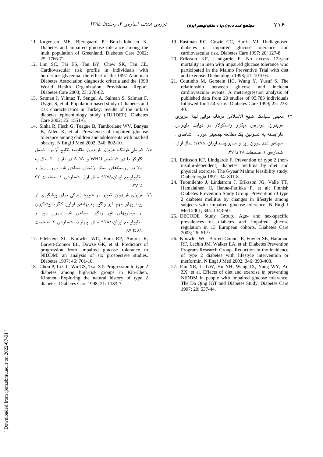- 11. Jorgensen ME, Bjeregaard P, Borch-Johnsen K. Diabetes and impaired glucose tolerance among the inuit population of Greenland. Diabetes Care 2002; 25: 1766-71.
- 12. Lim SC, Tai ES, Tan BY, Chew SK, Tan CE. Cardiovascular risk profile in individuals with borderline glycemia: the effect of the 1997 American Diabetes Association diagnostic criteria and the 1998 World Health Organization Provisional Report. Diabetes Care 2000; 23: 278-82.
- 13. Satman I, Yilmaz T, Sengul A, Salman S, Salman F, Uygur S, et al. Population-based study of diabetes and risk characteristics in Turkey: results of the turkish diabetes epidemiology study (TURDEP). Diabetes Care 2002; 25: 1551-6.
- 14. Sinha R, Fisch G, Teague B, Tamborlane WV, Banyas B, Allen K, et al. Prevalence of impaired glucose tolerance among children and adolescents with marked obesity. N Engl J Med 2002; 346: 802-10.

۱۵. شریفی فرانک، عزیزی فریدون. مقایسه نتایج آزمون تحمل

گلوکز با دو شاخص WHO و ADA در افراد ۳۰ سال به

بالا در روستا*ه*ای استان زنجان. مجلهی غدد درون ریز و

متابولیسم ایران،۱۳۷۸؛ سال اول، شمارهی ۱، صفحات ۳۲ .\*7

- ۱٦. عزیزی فریدون. تغییر در شیوه زندگی برای پیشکیری از بیماریهای مهم غیر واگیر به بهانهی اولین کنگره پیشگیری از بیماریها*ی* غیر واگیر. مجلهی غدد درون ریز و متابولیسم ایران، ۱۳۸۱؛ سال چهارم، شمارهی ۲، صفحات  $\Lambda$ ۴ تا $\Lambda$ ۱
- 17. Edelstein SL, Knowler WC, Bain RP, Andres R, Barrett-Connor EL, Dowse GK, et al. Predictors of progression from impaired glucose tolerance to NIDDM: an analysis of six prospective studies. Diabetes 1997; 46: 701-10.
- 18. Chou P, Li CL, Wu GS, Tsai ST. Progression to type 2 diabetes among high-risk groups in Kin-Chen, Kinmen. Exploring the natural history of type 2 diabetes. Diabetes Care 1998; 21: 1183-7.
- 19. Eastman RC, Cowie CC, Harris MI. Undiagnosed diabetes or impaired glucose tolerance and cardiovascular risk. Diabetes Care 1997; 20: 127-8.
- 20. Eriksson KF, Lindgarde F. No excess 12-year mortality in men with impaired glucose tolerance who participated in the Malmo Preventive Trial with diet and exercise. Diabetologia 1998; 41: 1010-6.
- 21. Coutinho M, Gerstein HC, Wang Y, Yusuf S. The relationship between glucose and incident cardiovascular events. A metaregression analysis of published data from 20 studies of 95,783 individuals followed for 12.4 years. Diabetes Care 1999; 22: 233- 40.

```
۲۲. معینی سیامک، شیخ الاسلامی فرهاد، نوایی لیدا، عزیزی
فریدون. عوارض میکرو واسکولار در دیابت ملیتوس
```
ناوابسته به انسولین. یک مطالعه جمعیتی مورد – شاهدی .

مجلهی غدد درون ریز و متابولیسم ایران، ۱۳۷۸؛ سال اول،

 $fV$  شمار دی  $\wedge$  صفحات ۳۸ تا ۴۷.

- 23. Eriksson KF, Lindgarde F. Prevention of type 2 (noninsulin-dependent) diabetes mellitus by diet and physical exercise. The 6-year Malmo feasibility study. Diabetologia 1991; 34: 891-8.
- 24. Tuomilehto J, Lindstrom J, Eriksson JG, Valle TT, Hamalainen H, Ilanne-Parikka P, et al; Finnish Diabetes Prevention Study Group. Prevention of type 2 diabetes mellitus by changes in lifestyle among subjects with impaired glucose tolerance. N Engl J Med 2001; 344: 1343-50.
- 25. DECODE Study Group. Age- and sex-specific prevalences of diabetes and impaired glucose regulation in 13 European cohorts. Diabetes Care 2003; 26: 61-9.
- 26. Knowler WC, Barrett-Connor E, Fowler SE, Hamman RF, Lachin JM, Walker EA, et al; Diabetes Prevention Program Research Group. Reduction in the incidence of type 2 diabetes with lifestyle intervention or metformin. N Engl J Med 2002; 346: 393-403.
- 27. Pan XR, Li GW, Hu YH, Wang JX, Yang WY, An ZX, et al. Effects of diet and exercise in preventing NIDDM in people with impaired glucose tolerance. The Da Qing IGT and Diabetes Study. Diabetes Care 1997; 20: 537-44.